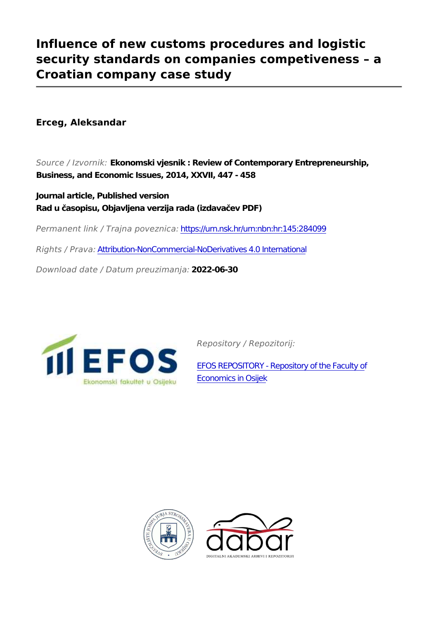## **Influence of new customs procedures and logistic security standards on companies competiveness – a Croatian company case study**

**Erceg, Aleksandar**

*Source / Izvornik:* **Ekonomski vjesnik : Review of Contemporary Entrepreneurship, Business, and Economic Issues, 2014, XXVII, 447 - 458**

**Journal article, Published version Rad u časopisu, Objavljena verzija rada (izdavačev PDF)**

*Permanent link / Trajna poveznica:* <https://urn.nsk.hr/urn:nbn:hr:145:284099>

*Rights / Prava:* [Attribution-NonCommercial-NoDerivatives 4.0 International](http://creativecommons.org/licenses/by-nc-nd/4.0/)

*Download date / Datum preuzimanja:* **2022-06-30**



*Repository / Repozitorij:*

[EFOS REPOSITORY - Repository of the Faculty o](https://repozitorij.efos.hr)f [Economics in Osijek](https://repozitorij.efos.hr)



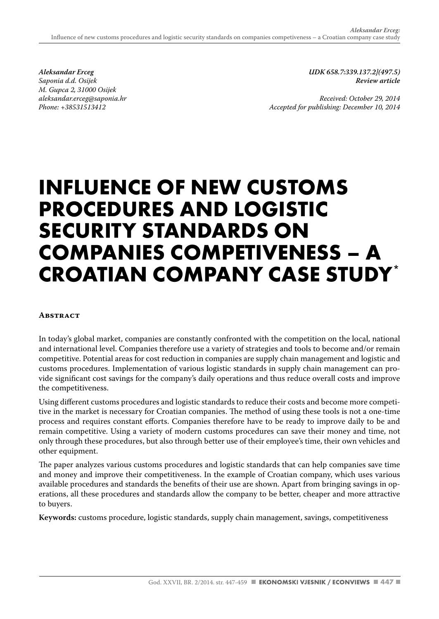*Aleksandar Erceg Saponia d.d. Osijek M. Gupca 2, 31000 Osijek aleksandar.erceg@saponia.hr Phone: +38531513412*

*UDK 658.7:339.137.2](497.5) Review article*

*Received: October 29, 2014 Accepted for publishing: December 10, 2014*

# **INFLUENCE OF NEW CUSTOMS PROCEDURES AND LOGISTIC SECURITY STANDARDS ON COMPANIES COMPETIVENESS – A CROATIAN COMPANY CASE STUDY\***

#### **Abstract**

In today's global market, companies are constantly confronted with the competition on the local, national and international level. Companies therefore use a variety of strategies and tools to become and/or remain competitive. Potential areas for cost reduction in companies are supply chain management and logistic and customs procedures. Implementation of various logistic standards in supply chain management can provide significant cost savings for the company's daily operations and thus reduce overall costs and improve the competitiveness.

Using different customs procedures and logistic standards to reduce their costs and become more competitive in the market is necessary for Croatian companies. The method of using these tools is not a one-time process and requires constant efforts. Companies therefore have to be ready to improve daily to be and remain competitive. Using a variety of modern customs procedures can save their money and time, not only through these procedures, but also through better use of their employee's time, their own vehicles and other equipment.

The paper analyzes various customs procedures and logistic standards that can help companies save time and money and improve their competitiveness. In the example of Croatian company, which uses various available procedures and standards the benefits of their use are shown. Apart from bringing savings in operations, all these procedures and standards allow the company to be better, cheaper and more attractive to buyers.

**Keywords:** customs procedure, logistic standards, supply chain management, savings, competitiveness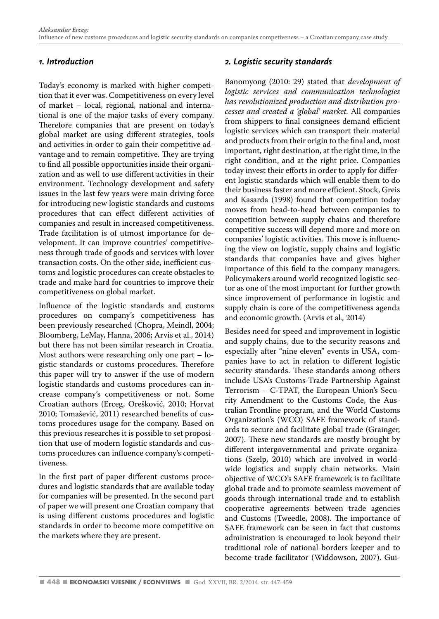#### *1. Introduction*

Today's economy is marked with higher competition that it ever was. Competitiveness on every level of market – local, regional, national and international is one of the major tasks of every company. Therefore companies that are present on today's global market are using different strategies, tools and activities in order to gain their competitive advantage and to remain competitive. They are trying to find all possible opportunities inside their organization and as well to use different activities in their environment. Technology development and safety issues in the last few years were main driving force for introducing new logistic standards and customs procedures that can effect different activities of companies and result in increased competitiveness. Trade facilitation is of utmost importance for development. It can improve countries' competitiveness through trade of goods and services with lover transaction costs. On the other side, inefficient customs and logistic procedures can create obstacles to trade and make hard for countries to improve their competitiveness on global market.

Influence of the logistic standards and customs procedures on company's competitiveness has been previously researched (Chopra, Meindl, 2004; Bloomberg, LeMay, Hanna, 2006; Arvis et al., 2014) but there has not been similar research in Croatia. Most authors were researching only one part – logistic standards or customs procedures. Therefore this paper will try to answer if the use of modern logistic standards and customs procedures can increase company's competitiveness or not. Some Croatian authors (Erceg, Orešković, 2010; Horvat 2010; Tomašević, 2011) researched benefits of customs procedures usage for the company. Based on this previous researches it is possible to set proposition that use of modern logistic standards and customs procedures can influence company's competitiveness.

In the first part of paper different customs procedures and logistic standards that are available today for companies will be presented. In the second part of paper we will present one Croatian company that is using different customs procedures and logistic standards in order to become more competitive on the markets where they are present.

#### *2. Logistic security standards*

Banomyong (2010: 29) stated that *development of logistic services and communication technologies has revolutionized production and distribution processes and created a 'global' market.* All companies from shippers to final consignees demand efficient logistic services which can transport their material and products from their origin to the final and, most important, right destination, at the right time, in the right condition, and at the right price. Companies today invest their efforts in order to apply for different logistic standards which will enable them to do their business faster and more efficient. Stock, Greis and Kasarda (1998) found that competition today moves from head-to-head between companies to competition between supply chains and therefore competitive success will depend more and more on companies' logistic activities. This move is influencing the view on logistic, supply chains and logistic standards that companies have and gives higher importance of this field to the company managers. Policymakers around world recognized logistic sector as one of the most important for further growth since improvement of performance in logistic and supply chain is core of the competitiveness agenda and economic growth. (Arvis et al*.,* 2014)

Besides need for speed and improvement in logistic and supply chains, due to the security reasons and especially after "nine eleven" events in USA, companies have to act in relation to different logistic security standards. These standards among others include USA's Customs-Trade Partnership Against Terrorism – C-TPAT, the European Union's Security Amendment to the Customs Code, the Australian Frontline program, and the World Customs Organization's (WCO) SAFE framework of standards to secure and facilitate global trade (Grainger, 2007). These new standards are mostly brought by different intergovernmental and private organizations (Szelp, 2010) which are involved in worldwide logistics and supply chain networks. Main objective of WCO's SAFE framework is to facilitate global trade and to promote seamless movement of goods through international trade and to establish cooperative agreements between trade agencies and Customs (Tweedle, 2008). The importance of SAFE framework can be seen in fact that customs administration is encouraged to look beyond their traditional role of national borders keeper and to become trade facilitator (Widdowson, 2007). Gui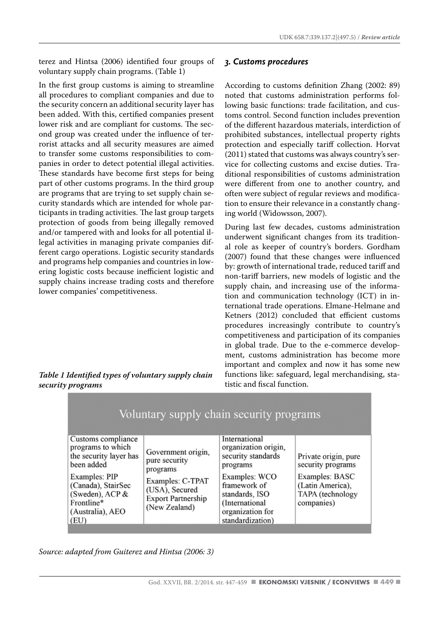terez and Hintsa (2006) identified four groups of voluntary supply chain programs. (Table 1)

In the first group customs is aiming to streamline all procedures to compliant companies and due to the security concern an additional security layer has been added. With this, certified companies present lower risk and are compliant for customs. The second group was created under the influence of terrorist attacks and all security measures are aimed to transfer some customs responsibilities to companies in order to detect potential illegal activities. These standards have become first steps for being part of other customs programs. In the third group are programs that are trying to set supply chain security standards which are intended for whole participants in trading activities. The last group targets protection of goods from being illegally removed and/or tampered with and looks for all potential illegal activities in managing private companies different cargo operations. Logistic security standards and programs help companies and countries in lowering logistic costs because inefficient logistic and supply chains increase trading costs and therefore lower companies' competitiveness.

#### *Table 1 Identified types of voluntary supply chain security programs*

#### *3. Customs procedures*

According to customs definition Zhang (2002: 89) noted that customs administration performs following basic functions: trade facilitation, and customs control. Second function includes prevention of the different hazardous materials, interdiction of prohibited substances, intellectual property rights protection and especially tariff collection. Horvat (2011) stated that customs was always country's service for collecting customs and excise duties. Traditional responsibilities of customs administration were different from one to another country, and often were subject of regular reviews and modification to ensure their relevance in a constantly changing world (Widowsson, 2007).

During last few decades, customs administration underwent significant changes from its traditional role as keeper of country's borders. Gordham (2007) found that these changes were influenced by: growth of international trade, reduced tariff and non-tariff barriers, new models of logistic and the supply chain, and increasing use of the information and communication technology (ICT) in international trade operations. Elmane-Helmane and Ketners (2012) concluded that efficient customs procedures increasingly contribute to country's competitiveness and participation of its companies in global trade. Due to the e-commerce development, customs administration has become more important and complex and now it has some new functions like: safeguard, legal merchandising, statistic and fiscal function.

| Voluntary supply chain security programs                                                                                                                                              |                                                                                                                                     |                                                                                                                                                                                      |                                                                                                                   |  |  |
|---------------------------------------------------------------------------------------------------------------------------------------------------------------------------------------|-------------------------------------------------------------------------------------------------------------------------------------|--------------------------------------------------------------------------------------------------------------------------------------------------------------------------------------|-------------------------------------------------------------------------------------------------------------------|--|--|
| Customs compliance<br>programs to which<br>the security layer has<br>been added<br>Examples: PIP<br>(Canada), StairSec<br>(Sweden), ACP $&$<br>Frontline*<br>(Australia), AEO<br>(EU) | Government origin,<br>pure security<br>programs<br>Examples: C-TPAT<br>(USA), Secured<br><b>Export Partnership</b><br>(New Zealand) | International<br>organization origin,<br>security standards<br>programs<br>Examples: WCO<br>framework of<br>standards, ISO<br>(International<br>organization for<br>standardization) | Private origin, pure<br>security programs<br>Examples: BASC<br>(Latin America),<br>TAPA (technology<br>companies) |  |  |

*Source: adapted from Guiterez and Hintsa (2006: 3)*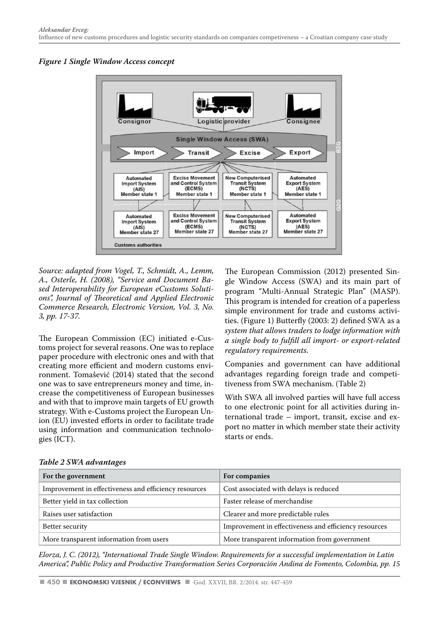



*Source: adapted from Vogel, T., Schmidt, A., Lemm, A., Osterle, H. (2008), "Service and Document Based Interoperability for European eCustoms Solutions", Journal of Theoretical and Applied Electronic Commerce Research, Electronic Version, Vol. 3, No. 3, pp. 17-37.* 

The European Commission (EC) initiated e-Customs project for several reasons. One was to replace paper procedure with electronic ones and with that creating more efficient and modern customs environment. Tomašević (2014) stated that the second one was to save entrepreneurs money and time, increase the competitiveness of European businesses and with that to improve main targets of EU growth strategy. With e-Customs project the European Union (EU) invested efforts in order to facilitate trade using information and communication technologies (ICT).

The European Commission (2012) presented Single Window Access (SWA) and its main part of program "Multi-Annual Strategic Plan" (MASP). This program is intended for creation of a paperless simple environment for trade and customs activities. (Figure 1) Butterfly (2003: 2) defined SWA as a *system that allows traders to lodge information with a single body to fulfill all import- or export-related regulatory requirements*.

Companies and government can have additional advantages regarding foreign trade and competitiveness from SWA mechanism. (Table 2)

With SWA all involved parties will have full access to one electronic point for all activities during international trade – import, transit, excise and export no matter in which member state their activity starts or ends.

| For the government                                    | For companies                                         |  |  |
|-------------------------------------------------------|-------------------------------------------------------|--|--|
| Improvement in effectiveness and efficiency resources | Cost associated with delays is reduced                |  |  |
| Better yield in tax collection                        | Faster release of merchandise                         |  |  |
| Raises user satisfaction                              | Clearer and more predictable rules                    |  |  |
| Better security                                       | Improvement in effectiveness and efficiency resources |  |  |
| More transparent information from users               | More transparent information from government          |  |  |

*Table 2 SWA advantages*

*Elorza, J. C. (2012), "International Trade Single Window. Requirements for a successful implementation in Latin America", Public Policy and Productive Transformation Series Corporación Andina de Fomento, Colombia, pp. 15*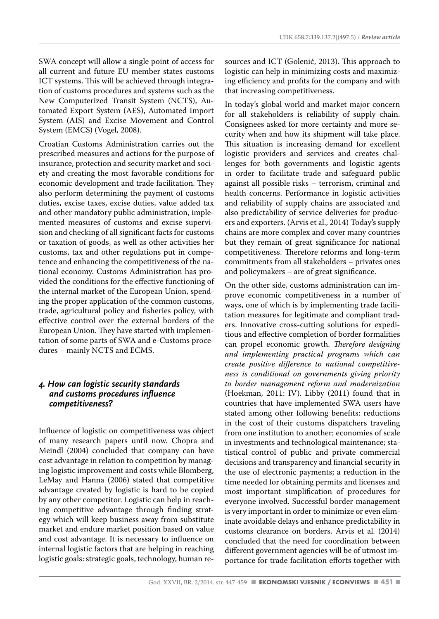SWA concept will allow a single point of access for all current and future EU member states customs ICT systems. This will be achieved through integration of customs procedures and systems such as the New Computerized Transit System (NCTS), Automated Export System (AES), Automated Import System (AIS) and Excise Movement and Control System (EMCS) (Vogel, 2008).

Croatian Customs Administration carries out the prescribed measures and actions for the purpose of insurance, protection and security market and society and creating the most favorable conditions for economic development and trade facilitation. They also perform determining the payment of customs duties, excise taxes, excise duties, value added tax and other mandatory public administration, implemented measures of customs and excise supervision and checking of all significant facts for customs or taxation of goods, as well as other activities her customs, tax and other regulations put in competence and enhancing the competitiveness of the national economy. Customs Administration has provided the conditions for the effective functioning of the internal market of the European Union, spending the proper application of the common customs, trade, agricultural policy and fisheries policy, with effective control over the external borders of the European Union. They have started with implementation of some parts of SWA and e-Customs procedures – mainly NCTS and ECMS.

#### *4. How can logistic security standards and customs procedures influence competitiveness?*

Influence of logistic on competitiveness was object of many research papers until now. Chopra and Meindl (2004) concluded that company can have cost advantage in relation to competition by managing logistic improvement and costs while Blomberg, LeMay and Hanna (2006) stated that competitive advantage created by logistic is hard to be copied by any other competitor. Logistic can help in reaching competitive advantage through finding strategy which will keep business away from substitute market and endure market position based on value and cost advantage. It is necessary to influence on internal logistic factors that are helping in reaching logistic goals: strategic goals, technology, human resources and ICT (Golenić, 2013). This approach to logistic can help in minimizing costs and maximizing efficiency and profits for the company and with that increasing competitiveness.

In today's global world and market major concern for all stakeholders is reliability of supply chain. Consignees asked for more certainty and more security when and how its shipment will take place. This situation is increasing demand for excellent logistic providers and services and creates challenges for both governments and logistic agents in order to facilitate trade and safeguard public against all possible risks – terrorism, criminal and health concerns. Performance in logistic activities and reliability of supply chains are associated and also predictability of service deliveries for producers and exporters. (Arvis et al., 2014) Today's supply chains are more complex and cover many countries but they remain of great significance for national competitiveness. Therefore reforms and long-term commitments from all stakeholders – privates ones and policymakers – are of great significance.

On the other side, customs administration can improve economic competitiveness in a number of ways, one of which is by implementing trade facilitation measures for legitimate and compliant traders. Innovative cross-cutting solutions for expeditious and effective completion of border formalities can propel economic growth. *Therefore designing and implementing practical programs which can create positive difference to national competitiveness is conditional on governments giving priority to border management reform and modernization* (Hoekman, 2011: IV). Libby (2011) found that in countries that have implemented SWA users have stated among other following benefits: reductions in the cost of their customs dispatchers traveling from one institution to another; economies of scale in investments and technological maintenance; statistical control of public and private commercial decisions and transparency and financial security in the use of electronic payments; a reduction in the time needed for obtaining permits and licenses and most important simplification of procedures for everyone involved. Successful border management is very important in order to minimize or even eliminate avoidable delays and enhance predictability in customs clearance on borders. Arvis et al. (2014) concluded that the need for coordination between different government agencies will be of utmost importance for trade facilitation efforts together with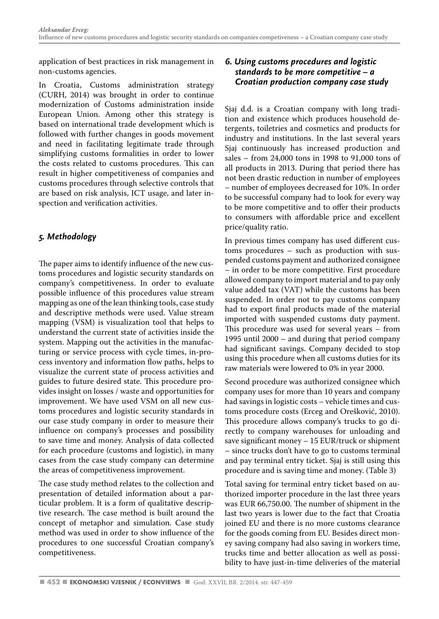application of best practices in risk management in non-customs agencies.

In Croatia, Customs administration strategy (CURH, 2014) was brought in order to continue modernization of Customs administration inside European Union. Among other this strategy is based on international trade development which is followed with further changes in goods movement and need in facilitating legitimate trade through simplifying customs formalities in order to lower the costs related to customs procedures. This can result in higher competitiveness of companies and customs procedures through selective controls that are based on risk analysis, ICT usage, and later inspection and verification activities.

#### *5. Methodology*

The paper aims to identify influence of the new customs procedures and logistic security standards on company's competitiveness. In order to evaluate possible influence of this procedures value stream mapping as one of the lean thinking tools, case study and descriptive methods were used. Value stream mapping (VSM) is visualization tool that helps to understand the current state of activities inside the system. Mapping out the activities in the manufacturing or service process with cycle times, in-process inventory and information flow paths, helps to visualize the current state of process activities and guides to future desired state. This procedure provides insight on losses / waste and opportunities for improvement. We have used VSM on all new customs procedures and logistic security standards in our case study company in order to measure their influence on company's processes and possibility to save time and money. Analysis of data collected for each procedure (customs and logistic), in many cases from the case study company can determine the areas of competitiveness improvement.

The case study method relates to the collection and presentation of detailed information about a particular problem. It is a form of qualitative descriptive research. The case method is built around the concept of metaphor and simulation. Case study method was used in order to show influence of the procedures to one successful Croatian company's competitiveness.

#### *6. Using customs procedures and logistic standards to be more competitive – a Croatian production company case study*

Sjaj d.d. is a Croatian company with long tradition and existence which produces household detergents, toiletries and cosmetics and products for industry and institutions. In the last several years Sjaj continuously has increased production and sales – from 24,000 tons in 1998 to 91,000 tons of all products in 2013. During that period there has not been drastic reduction in number of employees – number of employees decreased for 10%. In order to be successful company had to look for every way to be more competitive and to offer their products to consumers with affordable price and excellent price/quality ratio.

In previous times company has used different customs procedures – such as production with suspended customs payment and authorized consignee – in order to be more competitive. First procedure allowed company to import material and to pay only value added tax (VAT) while the customs has been suspended. In order not to pay customs company had to export final products made of the material imported with suspended customs duty payment. This procedure was used for several years – from 1995 until 2000 – and during that period company had significant savings. Company decided to stop using this procedure when all customs duties for its raw materials were lowered to 0% in year 2000.

Second procedure was authorized consignee which company uses for more than 10 years and company had savings in logistic costs – vehicle times and customs procedure costs (Erceg and Orešković, 2010). This procedure allows company's trucks to go directly to company warehouses for unloading and save significant money – 15 EUR/truck or shipment – since trucks don't have to go to customs terminal and pay terminal entry ticket. Sjaj is still using this procedure and is saving time and money. (Table 3)

Total saving for terminal entry ticket based on authorized importer procedure in the last three years was EUR 66,750.00. The number of shipment in the last two years is lower due to the fact that Croatia joined EU and there is no more customs clearance for the goods coming from EU. Besides direct money saving company had also saving in workers time, trucks time and better allocation as well as possibility to have just-in-time deliveries of the material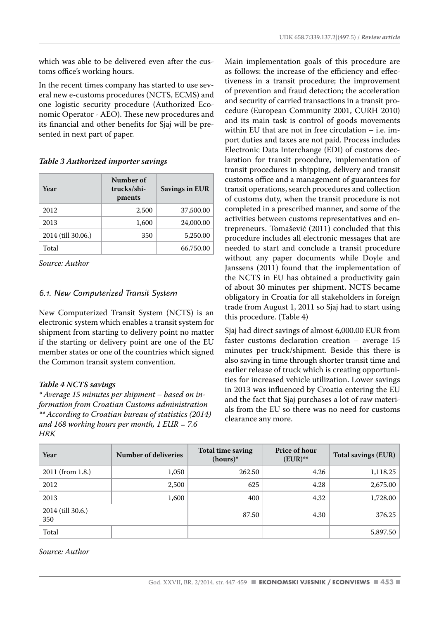which was able to be delivered even after the customs office's working hours.

In the recent times company has started to use several new e-customs procedures (NCTS, ECMS) and one logistic security procedure (Authorized Economic Operator - AEO). These new procedures and its financial and other benefits for Sjaj will be presented in next part of paper.

#### *Table 3 Authorized importer savings*

| Year               | Number of<br>trucks/shi-<br>pments | <b>Savings in EUR</b> |
|--------------------|------------------------------------|-----------------------|
| 2012               | 2.500                              | 37,500.00             |
| 2013               | 1,600                              | 24,000.00             |
| 2014 (till 30.06.) | 350                                | 5,250.00              |
| Total              |                                    | 66,750.00             |

*Source: Author*

#### *6.1. New Computerized Transit System*

New Computerized Transit System (NCTS) is an electronic system which enables a transit system for shipment from starting to delivery point no matter if the starting or delivery point are one of the EU member states or one of the countries which signed the Common transit system convention.

#### *Table 4 NCTS savings*

*\* Average 15 minutes per shipment – based on information from Croatian Customs administration \*\* According to Croatian bureau of statistics (2014) and 168 working hours per month, 1 EUR = 7.6 HRK* 

Main implementation goals of this procedure are as follows: the increase of the efficiency and effectiveness in a transit procedure; the improvement of prevention and fraud detection; the acceleration and security of carried transactions in a transit procedure (European Community 2001, CURH 2010) and its main task is control of goods movements within EU that are not in free circulation – i.e. import duties and taxes are not paid. Process includes Electronic Data Interchange (EDI) of customs declaration for transit procedure, implementation of transit procedures in shipping, delivery and transit customs office and a management of guarantees for transit operations, search procedures and collection of customs duty, when the transit procedure is not completed in a prescribed manner, and some of the activities between customs representatives and entrepreneurs. Tomašević (2011) concluded that this procedure includes all electronic messages that are needed to start and conclude a transit procedure without any paper documents while Doyle and Janssens (2011) found that the implementation of the NCTS in EU has obtained a productivity gain of about 30 minutes per shipment. NCTS became obligatory in Croatia for all stakeholders in foreign trade from August 1, 2011 so Sjaj had to start using this procedure. (Table 4)

Sjaj had direct savings of almost 6,000.00 EUR from faster customs declaration creation – average 15 minutes per truck/shipment. Beside this there is also saving in time through shorter transit time and earlier release of truck which is creating opportunities for increased vehicle utilization. Lower savings in 2013 was influenced by Croatia entering the EU and the fact that Sjaj purchases a lot of raw materials from the EU so there was no need for customs clearance any more.

| Year                     | Number of deliveries | Total time saving<br>$(hours)*$ | Price of hour<br>$(EUR)$ ** | Total savings (EUR) |
|--------------------------|----------------------|---------------------------------|-----------------------------|---------------------|
| 2011 (from 1.8.)         | 1,050                | 262.50                          | 4.26                        | 1,118.25            |
| 2012                     | 2.500                | 625                             | 4.28                        | 2,675.00            |
| 2013                     | 1,600                | 400                             | 4.32                        | 1,728.00            |
| 2014 (till 30.6.)<br>350 |                      | 87.50                           | 4.30                        | 376.25              |
| Total                    |                      |                                 |                             | 5,897.50            |

*Source: Author*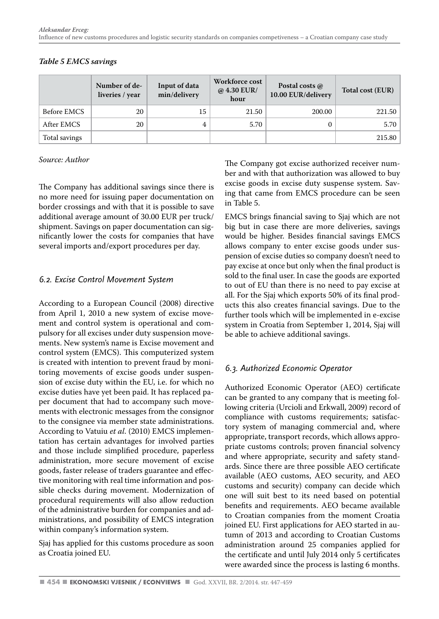|               | Number of de-<br>liveries / year | Input of data<br>min/delivery | Workforce cost<br>@ $4.30$ EUR/<br>hour | Postal costs @<br>10.00 EUR/delivery | Total cost (EUR) |
|---------------|----------------------------------|-------------------------------|-----------------------------------------|--------------------------------------|------------------|
| Before EMCS   | 20                               | 15                            | 21.50                                   | 200.00                               | 221.50           |
| After EMCS    | 20                               | 4                             | 5.70                                    | $\Omega$                             | 5.70             |
| Total savings |                                  |                               |                                         |                                      | 215.80           |

#### *Table 5 EMCS savings*

#### *Source: Author*

The Company has additional savings since there is no more need for issuing paper documentation on border crossings and with that it is possible to save additional average amount of 30.00 EUR per truck/ shipment. Savings on paper documentation can significantly lower the costs for companies that have several imports and/export procedures per day.

#### *6.2. Excise Control Movement System*

According to a European Council (2008) directive from April 1, 2010 a new system of excise movement and control system is operational and compulsory for all excises under duty suspension movements. New system's name is Excise movement and control system (EMCS). This computerized system is created with intention to prevent fraud by monitoring movements of excise goods under suspension of excise duty within the EU, i.e. for which no excise duties have yet been paid. It has replaced paper document that had to accompany such movements with electronic messages from the consignor to the consignee via member state administrations. According to Vatuiu *et al*. (2010) EMCS implementation has certain advantages for involved parties and those include simplified procedure, paperless administration, more secure movement of excise goods, faster release of traders guarantee and effective monitoring with real time information and possible checks during movement. Modernization of procedural requirements will also allow reduction of the administrative burden for companies and administrations, and possibility of EMCS integration within company's information system.

Sjaj has applied for this customs procedure as soon as Croatia joined EU.

The Company got excise authorized receiver number and with that authorization was allowed to buy excise goods in excise duty suspense system. Saving that came from EMCS procedure can be seen in Table 5.

EMCS brings financial saving to Sjaj which are not big but in case there are more deliveries, savings would be higher. Besides financial savings EMCS allows company to enter excise goods under suspension of excise duties so company doesn't need to pay excise at once but only when the final product is sold to the final user. In case the goods are exported to out of EU than there is no need to pay excise at all. For the Sjaj which exports 50% of its final products this also creates financial savings. Due to the further tools which will be implemented in e-excise system in Croatia from September 1, 2014, Sjaj will be able to achieve additional savings.

#### *6.3. Authorized Economic Operator*

Authorized Economic Operator (AEO) certificate can be granted to any company that is meeting following criteria (Urcioli and Erkwall, 2009) record of compliance with customs requirements; satisfactory system of managing commercial and, where appropriate, transport records, which allows appropriate customs controls; proven financial solvency and where appropriate, security and safety standards. Since there are three possible AEO certificate available (AEO customs, AEO security, and AEO customs and security) company can decide which one will suit best to its need based on potential benefits and requirements. AEO became available to Croatian companies from the moment Croatia joined EU. First applications for AEO started in autumn of 2013 and according to Croatian Customs administration around 25 companies applied for the certificate and until July 2014 only 5 certificates were awarded since the process is lasting 6 months.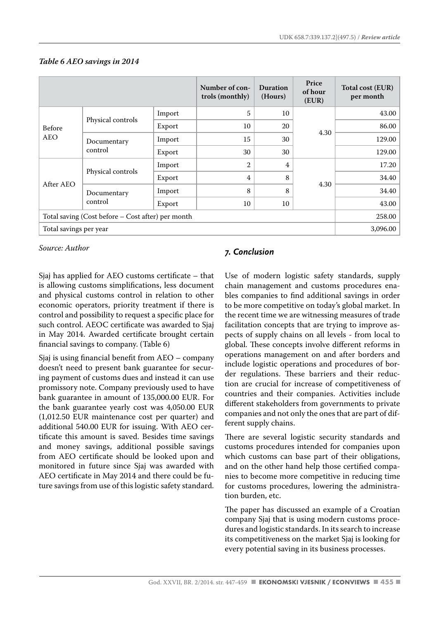|                                                   |                        |        | Number of con-<br>trols (monthly) | Duration<br>(Hours) | Price<br>of hour<br>(EUR) | Total cost (EUR)<br>per month |
|---------------------------------------------------|------------------------|--------|-----------------------------------|---------------------|---------------------------|-------------------------------|
| Before<br>AEO                                     | Physical controls      | Import | 5                                 | 10                  | 4.30                      | 43.00                         |
|                                                   |                        | Export | 10                                | 20                  |                           | 86.00                         |
|                                                   | Documentary<br>control | Import | 15                                | 30                  |                           | 129.00                        |
|                                                   |                        | Export | 30                                | 30                  |                           | 129.00                        |
| After AEO                                         | Physical controls      | Import | $\overline{2}$                    | 4                   | 4.30                      | 17.20                         |
|                                                   |                        | Export | 4                                 | 8                   |                           | 34.40                         |
|                                                   | Documentary<br>control | Import | 8                                 | 8                   |                           | 34.40                         |
|                                                   |                        | Export | 10                                | 10                  |                           | 43.00                         |
| Total saving (Cost before – Cost after) per month |                        |        |                                   |                     | 258.00                    |                               |
| Total savings per year                            |                        |        |                                   |                     | 3,096.00                  |                               |

#### *Table 6 AEO savings in 2014*

*Source: Author* 

Sjaj has applied for AEO customs certificate – that is allowing customs simplifications, less document and physical customs control in relation to other economic operators, priority treatment if there is control and possibility to request a specific place for such control. AEOC certificate was awarded to Sjaj in May 2014. Awarded certificate brought certain financial savings to company. (Table 6)

Sjaj is using financial benefit from AEO – company doesn't need to present bank guarantee for securing payment of customs dues and instead it can use promissory note. Company previously used to have bank guarantee in amount of 135,000.00 EUR. For the bank guarantee yearly cost was 4,050.00 EUR (1,012.50 EUR maintenance cost per quarter) and additional 540.00 EUR for issuing. With AEO certificate this amount is saved. Besides time savings and money savings, additional possible savings from AEO certificate should be looked upon and monitored in future since Sjaj was awarded with AEO certificate in May 2014 and there could be future savings from use of this logistic safety standard.

#### *7. Conclusion*

Use of modern logistic safety standards, supply chain management and customs procedures enables companies to find additional savings in order to be more competitive on today's global market. In the recent time we are witnessing measures of trade facilitation concepts that are trying to improve aspects of supply chains on all levels - from local to global. These concepts involve different reforms in operations management on and after borders and include logistic operations and procedures of border regulations. These barriers and their reduction are crucial for increase of competitiveness of countries and their companies. Activities include different stakeholders from governments to private companies and not only the ones that are part of different supply chains.

There are several logistic security standards and customs procedures intended for companies upon which customs can base part of their obligations, and on the other hand help those certified companies to become more competitive in reducing time for customs procedures, lowering the administration burden, etc.

The paper has discussed an example of a Croatian company Sjaj that is using modern customs procedures and logistic standards. In its search to increase its competitiveness on the market Sjaj is looking for every potential saving in its business processes.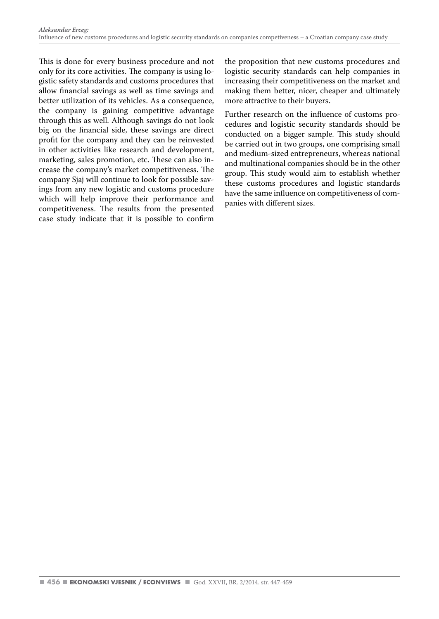This is done for every business procedure and not only for its core activities. The company is using logistic safety standards and customs procedures that allow financial savings as well as time savings and better utilization of its vehicles. As a consequence, the company is gaining competitive advantage through this as well. Although savings do not look big on the financial side, these savings are direct profit for the company and they can be reinvested in other activities like research and development, marketing, sales promotion, etc. These can also increase the company's market competitiveness. The company Sjaj will continue to look for possible savings from any new logistic and customs procedure which will help improve their performance and competitiveness. The results from the presented case study indicate that it is possible to confirm the proposition that new customs procedures and logistic security standards can help companies in increasing their competitiveness on the market and making them better, nicer, cheaper and ultimately more attractive to their buyers.

Further research on the influence of customs procedures and logistic security standards should be conducted on a bigger sample. This study should be carried out in two groups, one comprising small and medium-sized entrepreneurs, whereas national and multinational companies should be in the other group. This study would aim to establish whether these customs procedures and logistic standards have the same influence on competitiveness of companies with different sizes.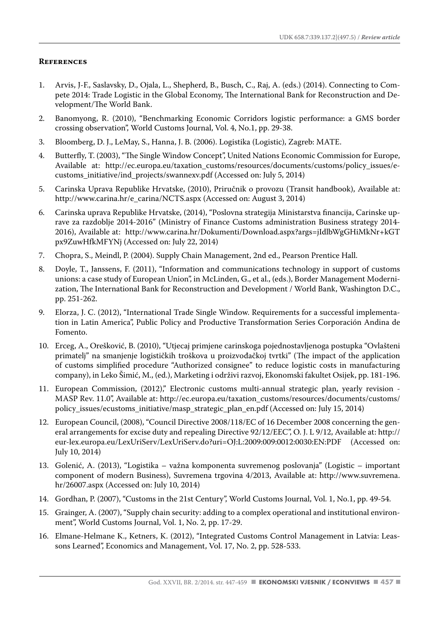#### **References**

- 1. Arvis, J-F., Saslavsky, D., Ojala, L., Shepherd, B., Busch, C., Raj, A. (eds.) (2014). Connecting to Compete 2014: Trade Logistic in the Global Economy, The International Bank for Reconstruction and Development/The World Bank.
- 2. Banomyong, R. (2010), "Benchmarking Economic Corridors logistic performance: a GMS border crossing observation", World Customs Journal, Vol. 4, No.1, pp. 29-38.
- 3. Bloomberg, D. J., LeMay, S., Hanna, J. B. (2006). Logistika (Logistic), Zagreb: MATE.
- 4. Butterfly, T. (2003), "The Single Window Concept", United Nations Economic Commission for Europe, Available at: http://ec.europa.eu/taxation\_customs/resources/documents/customs/policy\_issues/ecustoms\_initiative/ind\_projects/swannexv.pdf (Accessed on: July 5, 2014)
- 5. Carinska Uprava Republike Hrvatske, (2010), Priručnik o provozu (Transit handbook), Available at: http://www.carina.hr/e\_carina/NCTS.aspx (Accessed on: August 3, 2014)
- 6. Carinska uprava Republike Hrvatske, (2014), "Poslovna strategija Ministarstva financija, Carinske uprave za razdoblje 2014-2016" (Ministry of Finance Customs administration Business strategy 2014- 2016), Available at: http://www.carina.hr/Dokumenti/Download.aspx?args=jIdlbWgGHiMkNr+kGT px9ZuwHfkMFYNj (Accessed on: July 22, 2014)
- 7. Chopra, S., Meindl, P. (2004). Supply Chain Management, 2nd ed., Pearson Prentice Hall.
- 8. Doyle, T., Janssens, F. (2011), "Information and communications technology in support of customs unions: a case study of European Union", in McLinden, G., et al., (eds.), Border Management Modernization, The International Bank for Reconstruction and Development / World Bank, Washington D.C., pp. 251-262.
- 9. Elorza, J. C. (2012), "International Trade Single Window. Requirements for a successful implementation in Latin America", Public Policy and Productive Transformation Series Corporación Andina de Fomento.
- 10. Erceg, A., Orešković, B. (2010), "Utjecaj primjene carinskoga pojednostavljenoga postupka "Ovlašteni primatelj" na smanjenje logističkih troškova u proizvođačkoj tvrtki" (The impact of the application of customs simplified procedure "Authorized consignee" to reduce logistic costs in manufacturing company), in Leko Šimić, M., (ed.), Marketing i održivi razvoj, Ekonomski fakultet Osijek, pp. 181-196.
- 11. European Commission, (2012)," Electronic customs multi-annual strategic plan, yearly revision MASP Rev. 11.0", Available at: http://ec.europa.eu/taxation\_customs/resources/documents/customs/ policy\_issues/ecustoms\_initiative/masp\_strategic\_plan\_en.pdf (Accessed on: July 15, 2014)
- 12. European Council, (2008), "Council Directive 2008/118/EC of 16 December 2008 concerning the general arrangements for excise duty and repealing Directive 92/12/EEC", O. J. L 9/12, Available at: http:// eur-lex.europa.eu/LexUriServ/LexUriServ.do?uri=OJ:L:2009:009:0012:0030:EN:PDF (Accessed on: July 10, 2014)
- 13. Golenić, A. (2013), "Logistika važna komponenta suvremenog poslovanja" (Logistic important component of modern Business), Suvremena trgovina 4/2013, Available at: http://www.suvremena. hr/26007.aspx (Accessed on: July 10, 2014)
- 14. Gordhan, P. (2007), "Customs in the 21st Century", World Customs Journal, Vol. 1, No.1, pp. 49-54.
- 15. Grainger, A. (2007), "Supply chain security: adding to a complex operational and institutional environment", World Customs Journal, Vol. 1, No. 2, pp. 17-29.
- 16. Elmane-Helmane K., Ketners, K. (2012), "Integrated Customs Control Management in Latvia: Leassons Learned", Economics and Management, Vol. 17, No. 2, pp. 528-533.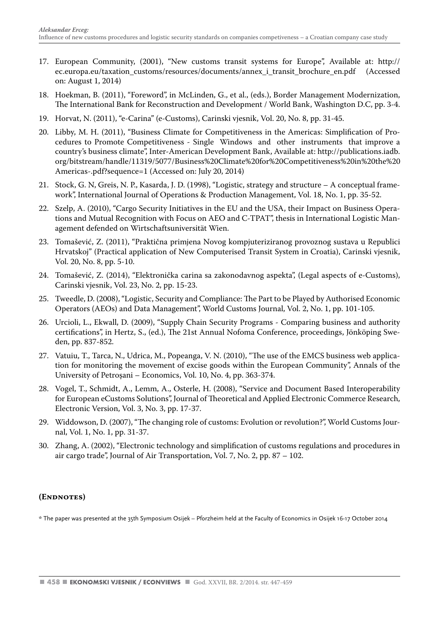- 17. European Community, (2001), "New customs transit systems for Europe", Available at: http:// ec.europa.eu/taxation\_customs/resources/documents/annex\_i\_transit\_brochure\_en.pdf on: August 1, 2014)
- 18. Hoekman, B. (2011), "Foreword", in McLinden, G., et al., (eds.), Border Management Modernization, The International Bank for Reconstruction and Development / World Bank, Washington D.C, pp. 3-4.
- 19. Horvat, N. (2011), "e-Carina" (e-Customs), Carinski vjesnik, Vol. 20, No. 8, pp. 31-45.
- 20. Libby, M. H. (2011), "Business Climate for Competitiveness in the Americas: Simplification of Procedures to Promote Competitiveness - Single Windows and other instruments that improve a country's business climate", Inter-American Development Bank, Available at: http://publications.iadb. org/bitstream/handle/11319/5077/Business%20Climate%20for%20Competitiveness%20in%20the%20 Americas-.pdf?sequence=1 (Accessed on: July 20, 2014)
- 21. Stock, G. N, Greis, N. P., Kasarda, J. D. (1998), "Logistic, strategy and structure A conceptual framework", International Journal of Operations & Production Management, Vol. 18, No. 1, pp. 35-52.
- 22. Szelp, A. (2010), "Cargo Security Initiatives in the EU and the USA, their Impact on Business Operations and Mutual Recognition with Focus on AEO and C-TPAT", thesis in International Logistic Management defended on Wirtschaftsuniversität Wien.
- 23. Tomašević, Z. (2011), "Praktična primjena Novog kompjuteriziranog provoznog sustava u Republici Hrvatskoj" (Practical application of New Computerised Transit System in Croatia), Carinski vjesnik, Vol. 20, No. 8, pp. 5-10.
- 24. Tomašević, Z. (2014), "Elektronička carina sa zakonodavnog aspekta", (Legal aspects of e-Customs), Carinski vjesnik, Vol. 23, No. 2, pp. 15-23.
- 25. Tweedle, D. (2008), "Logistic, Security and Compliance: The Part to be Played by Authorised Economic Operators (AEOs) and Data Management", World Customs Journal, Vol. 2, No. 1, pp. 101-105.
- 26. Urcioli, L., Ekwall, D. (2009), "Supply Chain Security Programs Comparing business and authority certifications", in Hertz, S., (ed.), The 21st Annual Nofoma Conference, proceedings, Jönköping Sweden, pp. 837-852.
- 27. Vatuiu, T., Tarca, N., Udrica, M., Popeanga, V. N. (2010), "The use of the EMCS business web application for monitoring the movement of excise goods within the European Community", Annals of the University of Petroşani – Economics, Vol. 10, No. 4, pp. 363-374.
- 28. Vogel, T., Schmidt, A., Lemm, A., Osterle, H. (2008), "Service and Document Based Interoperability for European eCustoms Solutions", Journal of Theoretical and Applied Electronic Commerce Research, Electronic Version, Vol. 3, No. 3, pp. 17-37.
- 29. Widdowson, D. (2007), "The changing role of customs: Evolution or revolution?", World Customs Journal, Vol. 1, No. 1, pp. 31-37.
- 30. Zhang, A. (2002), "Electronic technology and simplification of customs regulations and procedures in air cargo trade", Journal of Air Transportation, Vol. 7, No. 2, pp. 87 – 102.

#### **(Endnotes)**

\* The paper was presented at the 35th Symposium Osijek – Pforzheim held at the Faculty of Economics in Osijek 16-17 October 2014